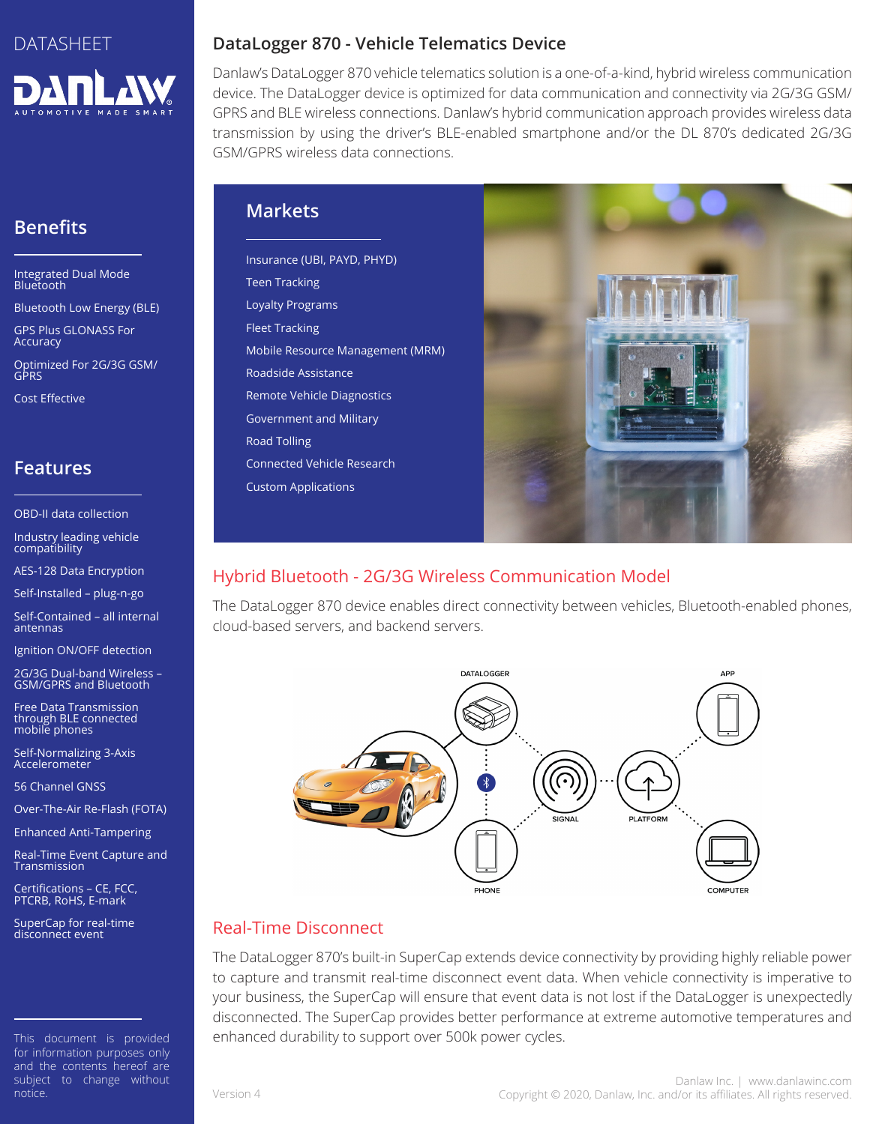

# **Benefits**

Integrated Dual Mode Bluetooth

Bluetooth Low Energy (BLE)

GPS Plus GLONASS For **Accuracy** 

Optimized For 2G/3G GSM/ GPRS

Cost Effective

## **Features**

OBD-II data collection

Industry leading vehicle compatibility

AES-128 Data Encryption

Self-Installed – plug-n-go

Self-Contained – all internal antennas

Ignition ON/OFF detection

2G/3G Dual-band Wireless – GSM/GPRS and Bluetooth

Free Data Transmission through BLE connected mobile phones

Self-Normalizing 3-Axis Accelerometer

56 Channel GNSS

Over-The-Air Re-Flash (FOTA)

Enhanced Anti-Tampering

Real-Time Event Capture and Transmission

Certifications – CE, FCC, PTCRB, RoHS, E-mark

SuperCap for real-time<br>disconnect event

This document is provided for information purposes only and the contents hereof are subject to change without notice.

#### **DataLogger 870 - Vehicle Telematics Device**

Danlaw's DataLogger 870 vehicle telematics solution is a one-of-a-kind, hybrid wireless communication device. The DataLogger device is optimized for data communication and connectivity via 2G/3G GSM/ GPRS and BLE wireless connections. Danlaw's hybrid communication approach provides wireless data transmission by using the driver's BLE-enabled smartphone and/or the DL 870's dedicated 2G/3G GSM/GPRS wireless data connections.

#### **Markets**

Insurance (UBI, PAYD, PHYD) Teen Tracking Loyalty Programs Fleet Tracking Mobile Resource Management (MRM) Roadside Assistance Remote Vehicle Diagnostics Government and Military Road Tolling Connected Vehicle Research Custom Applications



# Hybrid Bluetooth - 2G/3G Wireless Communication Model

The DataLogger 870 device enables direct connectivity between vehicles, Bluetooth-enabled phones, cloud-based servers, and backend servers.



# Real-Time Disconnect

The DataLogger 870's built-in SuperCap extends device connectivity by providing highly reliable power to capture and transmit real-time disconnect event data. When vehicle connectivity is imperative to your business, the SuperCap will ensure that event data is not lost if the DataLogger is unexpectedly disconnected. The SuperCap provides better performance at extreme automotive temperatures and enhanced durability to support over 500k power cycles.